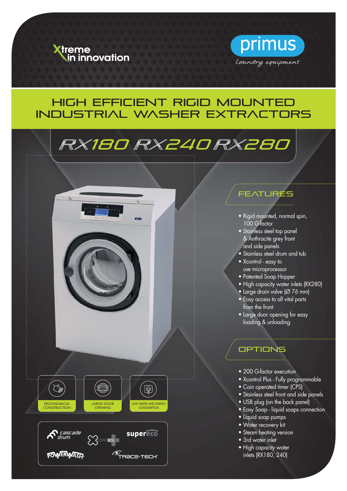



## High efficient RIGID mounted INDUSTRIAL washer extractors

# RX180 RX240 RX280





### **FEATURES**

- Rigid mounted, normal spin, 100 G-factor
- Stainless steel top panel & Anthracite grey front and side panels
- Stainless steel drum and tub
- Xcontrol easy to use microprocessor
- Patented Soap Hopper
- High capacity water inlets (RX280)
- Large drain valve (Ø 76 mm)
- Easy access to all vital parts from the front
- Large door opening for easy loading & unloading

#### **OPTIONS**

- 200 G-factor execution
- Xcontrol Plus Fully programmable
- Coin operated timer (CPS)
- Stainless steel front and side panels
- USB plug (on the back panel)
- Easy Soap liquid soaps connection
- Liquid soap pumps
- Water recovery kit
- **•** Steam heating version
- 3rd water inlet
- High capacity water inlets (RX180, 240)